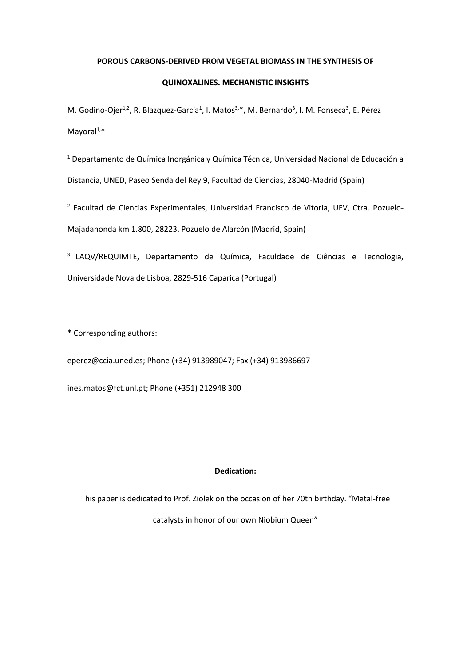### **POROUS CARBONS-DERIVED FROM VEGETAL BIOMASS IN THE SYNTHESIS OF**

# **QUINOXALINES. MECHANISTIC INSIGHTS**

M. Godino-Ojer<sup>1,2</sup>, R. Blazquez-García<sup>1</sup>, I. Matos<sup>3,\*</sup>, M. Bernardo<sup>3</sup>, I. M. Fonseca<sup>3</sup>, E. Pérez Mayoral $1,*$ 

<sup>1</sup> Departamento de Química Inorgánica y Química Técnica, Universidad Nacional de Educación a Distancia, UNED, Paseo Senda del Rey 9, Facultad de Ciencias, 28040-Madrid (Spain)

2 Facultad de Ciencias Experimentales, Universidad Francisco de Vitoria, UFV, Ctra. Pozuelo-Majadahonda km 1.800, 28223, Pozuelo de Alarcón (Madrid, Spain)

3 LAQV/REQUIMTE, Departamento de Química, Faculdade de Ciências e Tecnologia, Universidade Nova de Lisboa, 2829-516 Caparica (Portugal)

\* Corresponding authors:

eperez@ccia.uned.es; Phone (+34) 913989047; Fax (+34) 913986697

ines.matos@fct.unl.pt; Phone (+351) 212948 300

# **Dedication:**

This paper is dedicated to Prof. Ziolek on the occasion of her 70th birthday. "Metal-free catalysts in honor of our own Niobium Queen"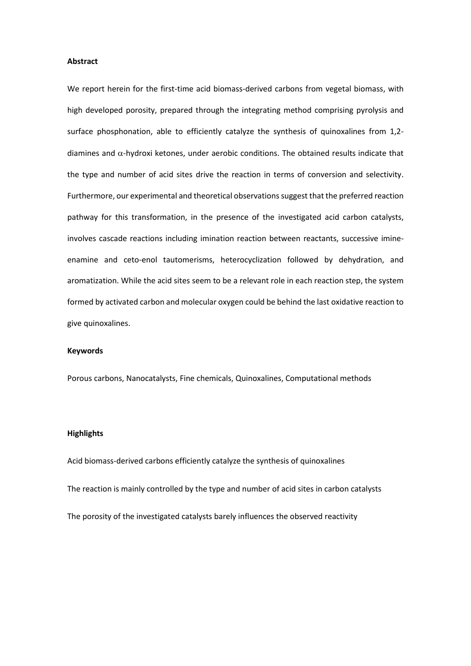### **Abstract**

We report herein for the first-time acid biomass-derived carbons from vegetal biomass, with high developed porosity, prepared through the integrating method comprising pyrolysis and surface phosphonation, able to efficiently catalyze the synthesis of quinoxalines from 1,2 diamines and  $\alpha$ -hydroxi ketones, under aerobic conditions. The obtained results indicate that the type and number of acid sites drive the reaction in terms of conversion and selectivity. Furthermore, our experimental and theoretical observations suggest that the preferred reaction pathway for this transformation, in the presence of the investigated acid carbon catalysts, involves cascade reactions including imination reaction between reactants, successive imineenamine and ceto-enol tautomerisms, heterocyclization followed by dehydration, and aromatization. While the acid sites seem to be a relevant role in each reaction step, the system formed by activated carbon and molecular oxygen could be behind the last oxidative reaction to give quinoxalines.

#### **Keywords**

Porous carbons, Nanocatalysts, Fine chemicals, Quinoxalines, Computational methods

#### **Highlights**

Acid biomass-derived carbons efficiently catalyze the synthesis of quinoxalines The reaction is mainly controlled by the type and number of acid sites in carbon catalysts The porosity of the investigated catalysts barely influences the observed reactivity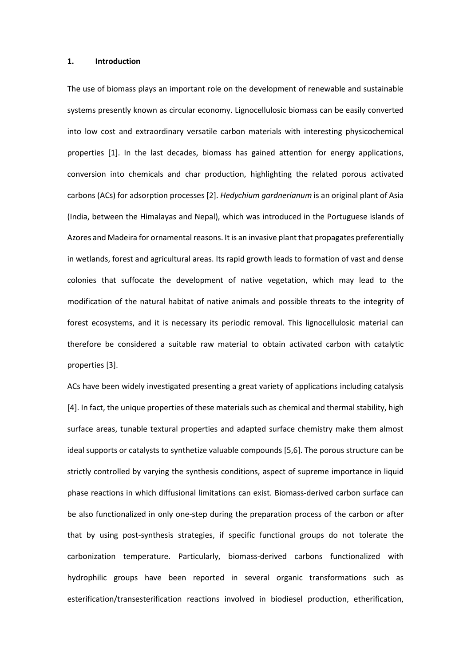#### **1. Introduction**

The use of biomass plays an important role on the development of renewable and sustainable systems presently known as circular economy. Lignocellulosic biomass can be easily converted into low cost and extraordinary versatile carbon materials with interesting physicochemical properties [1]. In the last decades, biomass has gained attention for energy applications, conversion into chemicals and char production, highlighting the related porous activated carbons (ACs) for adsorption processes [2]. *Hedychium gardnerianum* is an original plant of Asia (India, between the Himalayas and Nepal), which was introduced in the Portuguese islands of Azores and Madeira for ornamental reasons. It is an invasive plant that propagates preferentially in wetlands, forest and agricultural areas. Its rapid growth leads to formation of vast and dense colonies that suffocate the development of native vegetation, which may lead to the modification of the natural habitat of native animals and possible threats to the integrity of forest ecosystems, and it is necessary its periodic removal. This lignocellulosic material can therefore be considered a suitable raw material to obtain activated carbon with catalytic properties [3].

ACs have been widely investigated presenting a great variety of applications including catalysis [4]. In fact, the unique properties of these materials such as chemical and thermal stability, high surface areas, tunable textural properties and adapted surface chemistry make them almost ideal supports or catalysts to synthetize valuable compounds [5,6]. The porous structure can be strictly controlled by varying the synthesis conditions, aspect of supreme importance in liquid phase reactions in which diffusional limitations can exist. Biomass-derived carbon surface can be also functionalized in only one-step during the preparation process of the carbon or after that by using post-synthesis strategies, if specific functional groups do not tolerate the carbonization temperature. Particularly, biomass-derived carbons functionalized with hydrophilic groups have been reported in several organic transformations such as esterification/transesterification reactions involved in biodiesel production, etherification,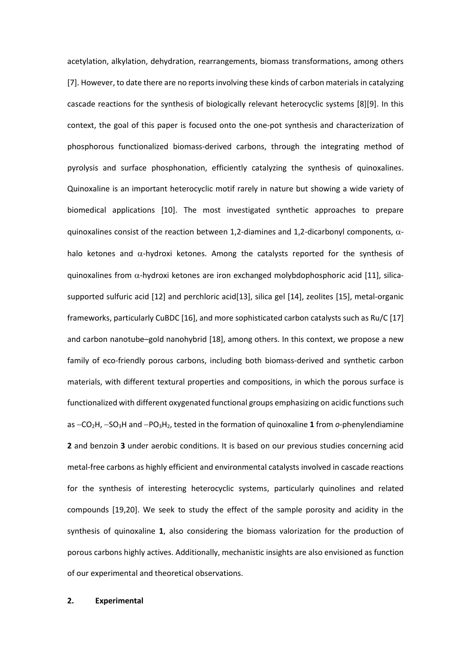acetylation, alkylation, dehydration, rearrangements, biomass transformations, among others [7]. However, to date there are no reports involving these kinds of carbon materials in catalyzing cascade reactions for the synthesis of biologically relevant heterocyclic systems [8][9]. In this context, the goal of this paper is focused onto the one-pot synthesis and characterization of phosphorous functionalized biomass-derived carbons, through the integrating method of pyrolysis and surface phosphonation, efficiently catalyzing the synthesis of quinoxalines. Quinoxaline is an important heterocyclic motif rarely in nature but showing a wide variety of biomedical applications [10]. The most investigated synthetic approaches to prepare quinoxalines consist of the reaction between 1,2-diamines and 1,2-dicarbonyl components,  $\alpha$ halo ketones and  $\alpha$ -hydroxi ketones. Among the catalysts reported for the synthesis of quinoxalines from  $\alpha$ -hydroxi ketones are iron exchanged molybdophosphoric acid [11], silicasupported sulfuric acid [12] and perchloric acid[13], silica gel [14], zeolites [15], metal-organic frameworks, particularly CuBDC [16], and more sophisticated carbon catalysts such as Ru/C [17] and carbon nanotube–gold nanohybrid [18], among others. In this context, we propose a new family of eco-friendly porous carbons, including both biomass-derived and synthetic carbon materials, with different textural properties and compositions, in which the porous surface is functionalized with different oxygenated functional groups emphasizing on acidic functions such as −CO2H, −SO3H and −PO3H2, tested in the formation of quinoxaline **1** from *o*-phenylendiamine **2** and benzoin **3** under aerobic conditions. It is based on our previous studies concerning acid metal-free carbons as highly efficient and environmental catalysts involved in cascade reactions for the synthesis of interesting heterocyclic systems, particularly quinolines and related compounds [19,20]. We seek to study the effect of the sample porosity and acidity in the synthesis of quinoxaline **1**, also considering the biomass valorization for the production of porous carbons highly actives. Additionally, mechanistic insights are also envisioned as function of our experimental and theoretical observations.

# **2. Experimental**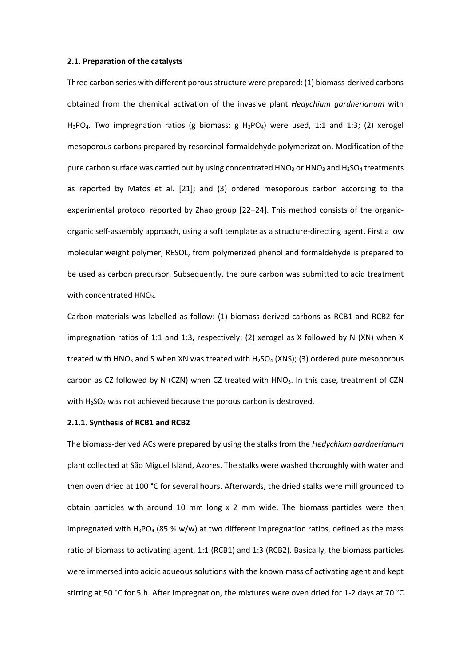#### **2.1. Preparation of the catalysts**

Three carbon series with different porous structure were prepared: (1) biomass-derived carbons obtained from the chemical activation of the invasive plant *Hedychium gardnerianum* with H<sub>3</sub>PO<sub>4</sub>. Two impregnation ratios (g biomass: g H<sub>3</sub>PO<sub>4</sub>) were used, 1:1 and 1:3; (2) xerogel mesoporous carbons prepared by resorcinol-formaldehyde polymerization. Modification of the pure carbon surface was carried out by using concentrated  $HNO<sub>3</sub>$  or  $HNO<sub>3</sub>$  and  $H<sub>2</sub>SO<sub>4</sub>$  treatments as reported by Matos et al. [21]; and (3) ordered mesoporous carbon according to the experimental protocol reported by Zhao group [22–24]. This method consists of the organicorganic self-assembly approach, using a soft template as a structure-directing agent. First a low molecular weight polymer, RESOL, from polymerized phenol and formaldehyde is prepared to be used as carbon precursor. Subsequently, the pure carbon was submitted to acid treatment with concentrated HNO<sub>3</sub>.

Carbon materials was labelled as follow: (1) biomass-derived carbons as RCB1 and RCB2 for impregnation ratios of 1:1 and 1:3, respectively; (2) xerogel as X followed by N (XN) when X treated with HNO<sub>3</sub> and S when XN was treated with H<sub>2</sub>SO<sub>4</sub> (XNS); (3) ordered pure mesoporous carbon as CZ followed by N (CZN) when CZ treated with HNO<sub>3</sub>. In this case, treatment of CZN with  $H_2SO_4$  was not achieved because the porous carbon is destroyed.

### **2.1.1. Synthesis of RCB1 and RCB2**

The biomass-derived ACs were prepared by using the stalks from the *Hedychium gardnerianum* plant collected at São Miguel Island, Azores. The stalks were washed thoroughly with water and then oven dried at 100 °C for several hours. Afterwards, the dried stalks were mill grounded to obtain particles with around 10 mm long x 2 mm wide. The biomass particles were then impregnated with  $H_3PQ_4$  (85 % w/w) at two different impregnation ratios, defined as the mass ratio of biomass to activating agent, 1:1 (RCB1) and 1:3 (RCB2). Basically, the biomass particles were immersed into acidic aqueous solutions with the known mass of activating agent and kept stirring at 50 °C for 5 h. After impregnation, the mixtures were oven dried for 1-2 days at 70 °C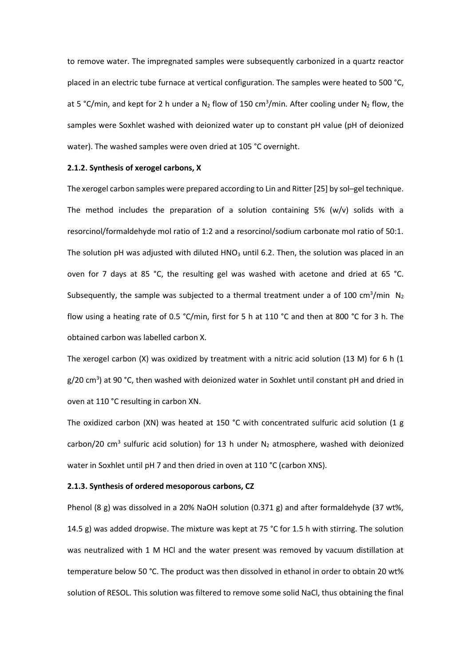to remove water. The impregnated samples were subsequently carbonized in a quartz reactor placed in an electric tube furnace at vertical configuration. The samples were heated to 500 °C, at 5 °C/min, and kept for 2 h under a  $N_2$  flow of 150 cm<sup>3</sup>/min. After cooling under  $N_2$  flow, the samples were Soxhlet washed with deionized water up to constant pH value (pH of deionized water). The washed samples were oven dried at 105 °C overnight.

#### **2.1.2. Synthesis of xerogel carbons, X**

The xerogel carbon samples were prepared according to Lin and Ritter [25] by sol–gel technique. The method includes the preparation of a solution containing 5% ( $w/v$ ) solids with a resorcinol/formaldehyde mol ratio of 1:2 and a resorcinol/sodium carbonate mol ratio of 50:1. The solution pH was adjusted with diluted HNO<sub>3</sub> until 6.2. Then, the solution was placed in an oven for 7 days at 85 °C, the resulting gel was washed with acetone and dried at 65 °C. Subsequently, the sample was subjected to a thermal treatment under a of 100 cm<sup>3</sup>/min N<sub>2</sub> flow using a heating rate of 0.5 °C/min, first for 5 h at 110 °C and then at 800 °C for 3 h. The obtained carbon was labelled carbon X.

The xerogel carbon  $(X)$  was oxidized by treatment with a nitric acid solution (13 M) for 6 h (1 g/20 cm<sup>3</sup>) at 90 °C, then washed with deionized water in Soxhlet until constant pH and dried in oven at 110 °C resulting in carbon XN.

The oxidized carbon (XN) was heated at 150 °C with concentrated sulfuric acid solution (1 g carbon/20 cm<sup>3</sup> sulfuric acid solution) for 13 h under  $N_2$  atmosphere, washed with deionized water in Soxhlet until pH 7 and then dried in oven at 110 °C (carbon XNS).

### **2.1.3. Synthesis of ordered mesoporous carbons, CZ**

Phenol (8 g) was dissolved in a 20% NaOH solution (0.371 g) and after formaldehyde (37 wt%, 14.5 g) was added dropwise. The mixture was kept at 75 °C for 1.5 h with stirring. The solution was neutralized with 1 M HCl and the water present was removed by vacuum distillation at temperature below 50 °C. The product was then dissolved in ethanol in order to obtain 20 wt% solution of RESOL. This solution was filtered to remove some solid NaCl, thus obtaining the final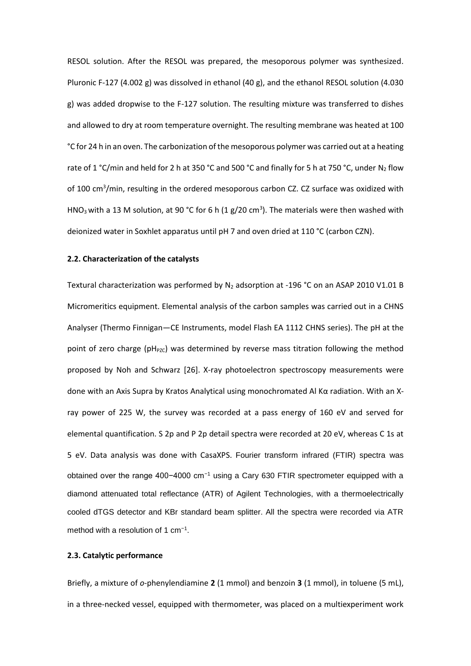RESOL solution. After the RESOL was prepared, the mesoporous polymer was synthesized. Pluronic F-127 (4.002 g) was dissolved in ethanol (40 g), and the ethanol RESOL solution (4.030 g) was added dropwise to the F-127 solution. The resulting mixture was transferred to dishes and allowed to dry at room temperature overnight. The resulting membrane was heated at 100 °C for 24 h in an oven. The carbonization of the mesoporous polymer was carried out at a heating rate of 1 °C/min and held for 2 h at 350 °C and 500 °C and finally for 5 h at 750 °C, under N<sub>2</sub> flow of 100 cm<sup>3</sup>/min, resulting in the ordered mesoporous carbon CZ. CZ surface was oxidized with HNO<sub>3</sub> with a 13 M solution, at 90 °C for 6 h (1 g/20 cm<sup>3</sup>). The materials were then washed with deionized water in Soxhlet apparatus until pH 7 and oven dried at 110 °C (carbon CZN).

### **2.2. Characterization of the catalysts**

Textural characterization was performed by  $N_2$  adsorption at -196 °C on an ASAP 2010 V1.01 B Micromeritics equipment. Elemental analysis of the carbon samples was carried out in a CHNS Analyser (Thermo Finnigan—CE Instruments, model Flash EA 1112 CHNS series). The pH at the point of zero charge ( $pH<sub>PZC</sub>$ ) was determined by reverse mass titration following the method proposed by Noh and Schwarz [26]. X-ray photoelectron spectroscopy measurements were done with an Axis Supra by Kratos Analytical using monochromated Al Kα radiation. With an Xray power of 225 W, the survey was recorded at a pass energy of 160 eV and served for elemental quantification. S 2p and P 2p detail spectra were recorded at 20 eV, whereas C 1s at 5 eV. Data analysis was done with CasaXPS. Fourier transform infrared (FTIR) spectra was obtained over the range 400−4000 cm−1 using a Cary 630 FTIR spectrometer equipped with a diamond attenuated total reflectance (ATR) of Agilent Technologies, with a thermoelectrically cooled dTGS detector and KBr standard beam splitter. All the spectra were recorded via ATR method with a resolution of 1 cm<sup>-1</sup>.

# **2.3. Catalytic performance**

Briefly, a mixture of *o*-phenylendiamine **2** (1 mmol) and benzoin **3** (1 mmol), in toluene (5 mL), in a three-necked vessel, equipped with thermometer, was placed on a multiexperiment work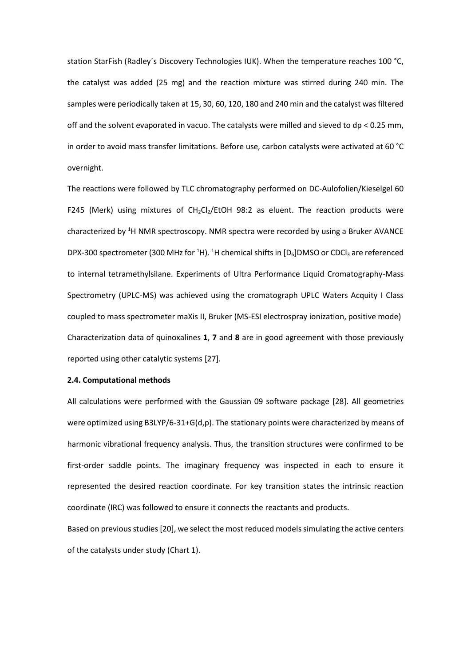station StarFish (Radley's Discovery Technologies IUK). When the temperature reaches 100 °C, the catalyst was added (25 mg) and the reaction mixture was stirred during 240 min. The samples were periodically taken at 15, 30, 60, 120, 180 and 240 min and the catalyst was filtered off and the solvent evaporated in vacuo. The catalysts were milled and sieved to dp < 0.25 mm, in order to avoid mass transfer limitations. Before use, carbon catalysts were activated at 60 °C overnight.

The reactions were followed by TLC chromatography performed on DC-Aulofolien/Kieselgel 60 F245 (Merk) using mixtures of  $CH_2Cl_2/EtOH$  98:2 as eluent. The reaction products were characterized by <sup>1</sup>H NMR spectroscopy. NMR spectra were recorded by using a Bruker AVANCE DPX-300 spectrometer (300 MHz for <sup>1</sup>H). <sup>1</sup>H chemical shifts in [D<sub>6</sub>]DMSO or CDCl<sub>3</sub> are referenced to internal tetramethylsilane. Experiments of Ultra Performance Liquid Cromatography-Mass Spectrometry (UPLC-MS) was achieved using the cromatograph UPLC Waters Acquity I Class coupled to mass spectrometer maXis II, Bruker (MS-ESI electrospray ionization, positive mode) Characterization data of quinoxalines **1**, **7** and **8** are in good agreement with those previously reported using other catalytic systems [27].

### **2.4. Computational methods**

All calculations were performed with the Gaussian 09 software package [28]. All geometries were optimized using B3LYP/6-31+G(d,p). The stationary points were characterized by means of harmonic vibrational frequency analysis. Thus, the transition structures were confirmed to be first-order saddle points. The imaginary frequency was inspected in each to ensure it represented the desired reaction coordinate. For key transition states the intrinsic reaction coordinate (IRC) was followed to ensure it connects the reactants and products.

Based on previous studies [20], we select the most reduced models simulating the active centers of the catalysts under study (Chart 1).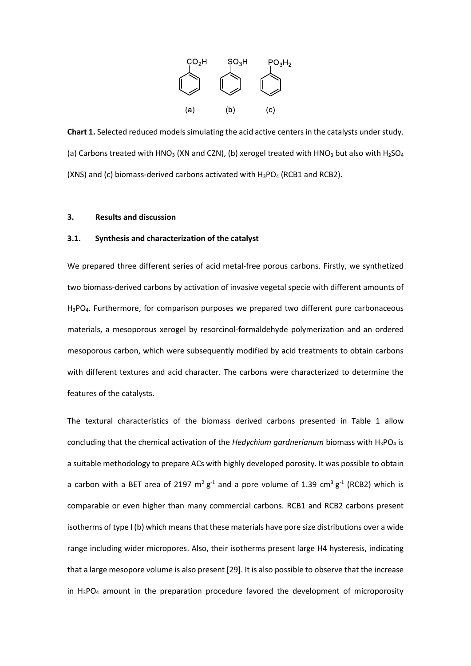

**Chart 1.** Selected reduced models simulating the acid active centers in the catalysts under study. (a) Carbons treated with HNO<sub>3</sub> (XN and CZN), (b) xerogel treated with HNO<sub>3</sub> but also with H<sub>2</sub>SO<sub>4</sub> (XNS) and (c) biomass-derived carbons activated with  $H_3PO_4$  (RCB1 and RCB2).

### **3. Results and discussion**

# **3.1. Synthesis and characterization of the catalyst**

We prepared three different series of acid metal-free porous carbons. Firstly, we synthetized two biomass-derived carbons by activation of invasive vegetal specie with different amounts of H3PO4. Furthermore, for comparison purposes we prepared two different pure carbonaceous materials, a mesoporous xerogel by resorcinol-formaldehyde polymerization and an ordered mesoporous carbon, which were subsequently modified by acid treatments to obtain carbons with different textures and acid character. The carbons were characterized to determine the features of the catalysts.

The textural characteristics of the biomass derived carbons presented in Table 1 allow concluding that the chemical activation of the *Hedychium gardnerianum* biomass with H3PO<sup>4</sup> is a suitable methodology to prepare ACs with highly developed porosity. It was possible to obtain a carbon with a BET area of 2197  $m^2 g^1$  and a pore volume of 1.39 cm<sup>3</sup>  $g^1$  (RCB2) which is comparable or even higher than many commercial carbons. RCB1 and RCB2 carbons present isotherms of type I (b) which means that these materials have pore size distributions over a wide range including wider micropores. Also, their isotherms present large H4 hysteresis, indicating that a large mesopore volume is also present [29]. It is also possible to observe that the increase in  $H_3PO_4$  amount in the preparation procedure favored the development of microporosity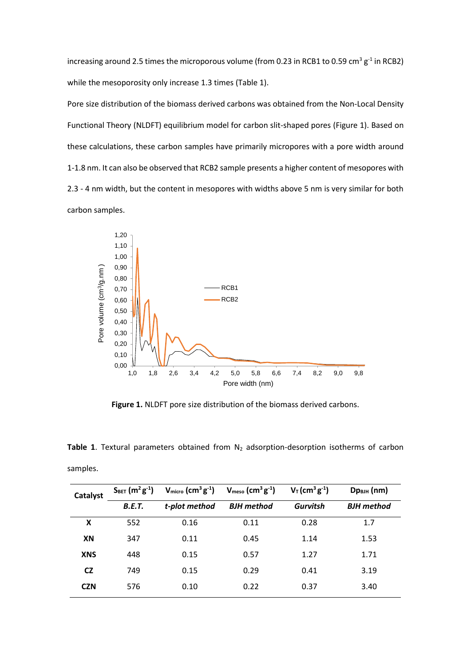increasing around 2.5 times the microporous volume (from 0.23 in RCB1 to 0.59 cm<sup>3</sup>  $g^{-1}$  in RCB2) while the mesoporosity only increase 1.3 times (Table 1).

Pore size distribution of the biomass derived carbons was obtained from the Non-Local Density Functional Theory (NLDFT) equilibrium model for carbon slit-shaped pores (Figure 1). Based on these calculations, these carbon samples have primarily micropores with a pore width around 1-1.8 nm. It can also be observed that RCB2 sample presents a higher content of mesopores with 2.3 - 4 nm width, but the content in mesopores with widths above 5 nm is very similar for both carbon samples.



**Figure 1.** NLDFT pore size distribution of the biomass derived carbons.

Table 1. Textural parameters obtained from N<sub>2</sub> adsorption-desorption isotherms of carbon samples.

| Catalyst   | $S_{BET}$ (m <sup>2</sup> g <sup>-1</sup> ) | $V_{micro}$ (cm <sup>3</sup> g <sup>-1</sup> ) | $V_{meso}$ (cm <sup>3</sup> g <sup>-1</sup> ) | $V_T$ (cm <sup>3</sup> g <sup>-1</sup> ) | $Dp_{\text{BJIH}}(nm)$ |
|------------|---------------------------------------------|------------------------------------------------|-----------------------------------------------|------------------------------------------|------------------------|
|            | <b>B.E.T.</b>                               | t-plot method                                  | <b>BJH</b> method                             | <b>Gurvitsh</b>                          | <b>BJH</b> method      |
| X          | 552                                         | 0.16                                           | 0.11                                          | 0.28                                     | 1.7                    |
| XN         | 347                                         | 0.11                                           | 0.45                                          | 1.14                                     | 1.53                   |
| <b>XNS</b> | 448                                         | 0.15                                           | 0.57                                          | 1.27                                     | 1.71                   |
| <b>CZ</b>  | 749                                         | 0.15                                           | 0.29                                          | 0.41                                     | 3.19                   |
| <b>CZN</b> | 576                                         | 0.10                                           | 0.22                                          | 0.37                                     | 3.40                   |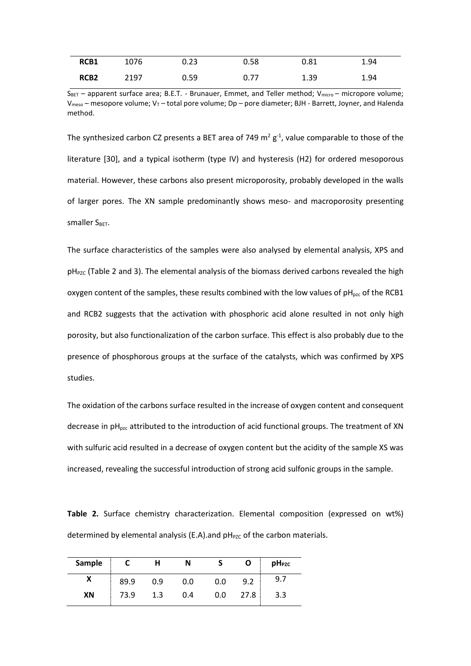| RCB1             | 1076 | 0.23 | 0.58 | 0.81 | 1.94 |
|------------------|------|------|------|------|------|
| RCB <sub>2</sub> | 2197 | 0.59 | 0.77 | 1.39 | 1.94 |

SBET – apparent surface area; B.E.T. - Brunauer, Emmet, and Teller method; Vmicro – micropore volume;  $V_{meso}$  – mesopore volume;  $V_T$  – total pore volume; Dp – pore diameter; BJH - Barrett, Joyner, and Halenda method.

The synthesized carbon CZ presents a BET area of 749  $m^2 g^1$ , value comparable to those of the literature [30], and a typical isotherm (type IV) and hysteresis (H2) for ordered mesoporous material. However, these carbons also present microporosity, probably developed in the walls of larger pores. The XN sample predominantly shows meso- and macroporosity presenting Smaller SBET.

The surface characteristics of the samples were also analysed by elemental analysis, XPS and  $pH<sub>PZC</sub>$  (Table 2 and 3). The elemental analysis of the biomass derived carbons revealed the high oxygen content of the samples, these results combined with the low values of  $pH_{pzc}$  of the RCB1 and RCB2 suggests that the activation with phosphoric acid alone resulted in not only high porosity, but also functionalization of the carbon surface. This effect is also probably due to the presence of phosphorous groups at the surface of the catalysts, which was confirmed by XPS studies.

The oxidation of the carbons surface resulted in the increase of oxygen content and consequent decrease in  $pH_{px}$  attributed to the introduction of acid functional groups. The treatment of XN with sulfuric acid resulted in a decrease of oxygen content but the acidity of the sample XS was increased, revealing the successful introduction of strong acid sulfonic groups in the sample.

**Table 2.** Surface chemistry characterization. Elemental composition (expressed on wt%) determined by elemental analysis (E.A).and  $pH<sub>PZC</sub>$  of the carbon materials.

| Sample |      |     | N   |     | O    | pH <sub>PZC</sub> |
|--------|------|-----|-----|-----|------|-------------------|
| Λ      | 89.9 | 0.9 | 0.0 | 0.0 | 9.2  | 9.7               |
| XN     | 73.9 |     | 0.4 | 0.0 | 27.8 | 3.3               |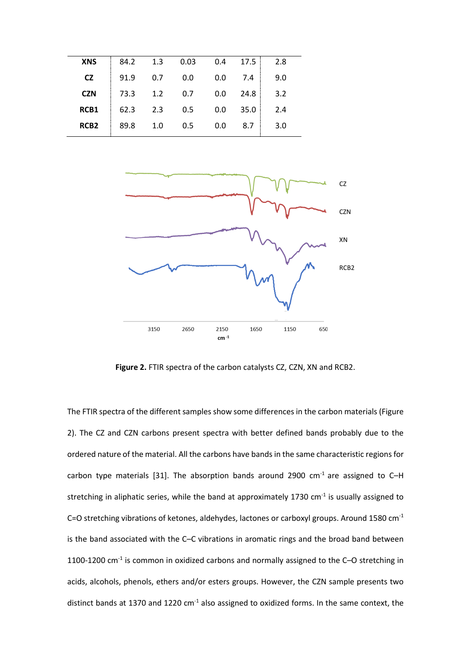| <b>XNS</b>       | 84.2 | 1.3 | 0.03 | 0.4 | 17.5 | 2.8 |
|------------------|------|-----|------|-----|------|-----|
| <b>CZ</b>        | 91.9 | 0.7 | 0.0  | 0.0 | 7.4  | 9.0 |
| <b>CZN</b>       | 73.3 | 1.2 | 0.7  | 0.0 | 24.8 | 3.2 |
| RCB1             | 62.3 | 2.3 | 0.5  | 0.0 | 35.0 | 2.4 |
| RCB <sub>2</sub> | 89.8 | 1.0 | 0.5  | 0.0 | 8.7  | 3.0 |



**Figure 2.** FTIR spectra of the carbon catalysts CZ, CZN, XN and RCB2.

The FTIR spectra of the different samples show some differences in the carbon materials (Figure 2). The CZ and CZN carbons present spectra with better defined bands probably due to the ordered nature of the material. All the carbons have bands in the same characteristic regions for carbon type materials [31]. The absorption bands around 2900  $cm<sup>-1</sup>$  are assigned to C-H stretching in aliphatic series, while the band at approximately 1730 cm<sup>-1</sup> is usually assigned to C=O stretching vibrations of ketones, aldehydes, lactones or carboxyl groups. Around 1580 cm<sup>-1</sup> is the band associated with the C–C vibrations in aromatic rings and the broad band between 1100-1200  $cm<sup>-1</sup>$  is common in oxidized carbons and normally assigned to the C-O stretching in acids, alcohols, phenols, ethers and/or esters groups. However, the CZN sample presents two distinct bands at 1370 and 1220  $cm<sup>-1</sup>$  also assigned to oxidized forms. In the same context, the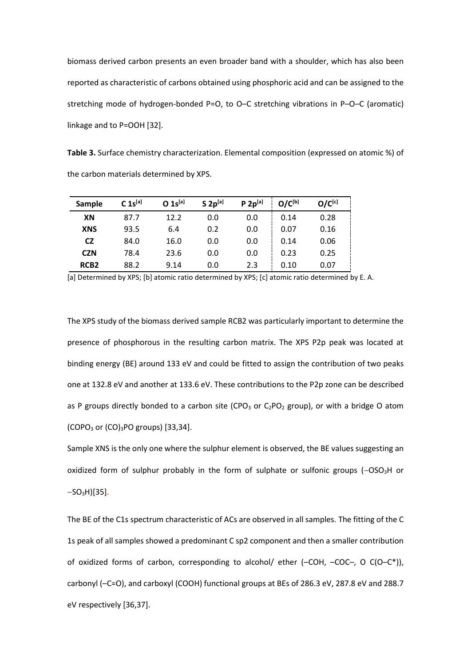biomass derived carbon presents an even broader band with a shoulder, which has also been reported as characteristic of carbons obtained using phosphoric acid and can be assigned to the stretching mode of hydrogen-bonded P=O, to O–C stretching vibrations in P–O–C (aromatic) linkage and to P=OOH [32].

**Table 3.** Surface chemistry characterization. Elemental composition (expressed on atomic %) of the carbon materials determined by XPS.

| Sample           | $C$ 1s <sup>[a]</sup> | $0 1s^{[a]}$ | $S 2p^{[a]}$ | $P 2p^{[a]}$ | $O/C^{[b]}$ | $O/C^{[c]}$ |
|------------------|-----------------------|--------------|--------------|--------------|-------------|-------------|
| XN               | 87.7                  | 12.2         | 0.0          | 0.0          | 0.14        | 0.28        |
| <b>XNS</b>       | 93.5                  | 6.4          | 0.2          | 0.0          | 0.07        | 0.16        |
| <b>CZ</b>        | 84.0                  | 16.0         | 0.0          | 0.0          | 0.14        | 0.06        |
| <b>CZN</b>       | 78.4                  | 23.6         | 0.0          | 0.0          | 0.23        | 0.25        |
| RCB <sub>2</sub> | 88.2                  | 9.14         | 0.0          | 2.3          | 0.10        | 0.07        |

[a] Determined by XPS; [b] atomic ratio determined by XPS; [c] atomic ratio determined by E.A.

The XPS study of the biomass derived sample RCB2 was particularly important to determine the presence of phosphorous in the resulting carbon matrix. The XPS P2p peak was located at binding energy (BE) around 133 eV and could be fitted to assign the contribution of two peaks one at 132.8 eV and another at 133.6 eV. These contributions to the P2p zone can be described as P groups directly bonded to a carbon site (CPO<sub>3</sub> or C<sub>2</sub>PO<sub>2</sub> group), or with a bridge O atom (COPO<sub>3</sub> or  $(CO)_{3}$ PO groups) [33,34].

Sample XNS is the only one where the sulphur element is observed, the BE values suggesting an oxidized form of sulphur probably in the form of sulphate or sulfonic groups (-OSO<sub>3</sub>H or  $-SO<sub>3</sub>H$ ][35].

The BE of the C1s spectrum characteristic of ACs are observed in all samples. The fitting of the C 1s peak of all samples showed a predominant C sp2 component and then a smaller contribution of oxidized forms of carbon, corresponding to alcohol/ ether (-COH, -COC-, O C(O-C\*)), carbonyl (–C=O), and carboxyl (COOH) functional groups at BEs of 286.3 eV, 287.8 eV and 288.7 eV respectively [36,37].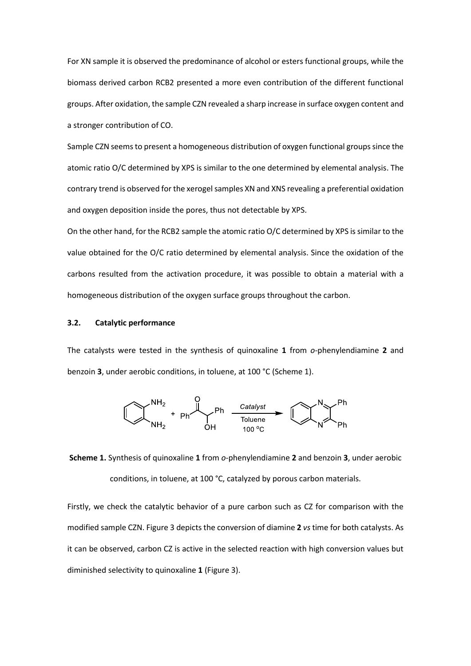For XN sample it is observed the predominance of alcohol or esters functional groups, while the biomass derived carbon RCB2 presented a more even contribution of the different functional groups. After oxidation, the sample CZN revealed a sharp increase in surface oxygen content and a stronger contribution of CO.

Sample CZN seems to present a homogeneous distribution of oxygen functional groups since the atomic ratio O/C determined by XPS is similar to the one determined by elemental analysis. The contrary trend is observed for the xerogel samples XN and XNS revealing a preferential oxidation and oxygen deposition inside the pores, thus not detectable by XPS.

On the other hand, for the RCB2 sample the atomic ratio O/C determined by XPS is similar to the value obtained for the O/C ratio determined by elemental analysis. Since the oxidation of the carbons resulted from the activation procedure, it was possible to obtain a material with a homogeneous distribution of the oxygen surface groups throughout the carbon.

### **3.2. Catalytic performance**

The catalysts were tested in the synthesis of quinoxaline **1** from *o*-phenylendiamine **2** and benzoin **3**, under aerobic conditions, in toluene, at 100 °C (Scheme 1).



**Scheme 1.** Synthesis of quinoxaline **1** from *o*-phenylendiamine **2** and benzoin **3**, under aerobic conditions, in toluene, at 100 °C, catalyzed by porous carbon materials.

Firstly, we check the catalytic behavior of a pure carbon such as CZ for comparison with the modified sample CZN. Figure 3 depicts the conversion of diamine **2** *vs* time for both catalysts. As it can be observed, carbon CZ is active in the selected reaction with high conversion values but diminished selectivity to quinoxaline **1** (Figure 3).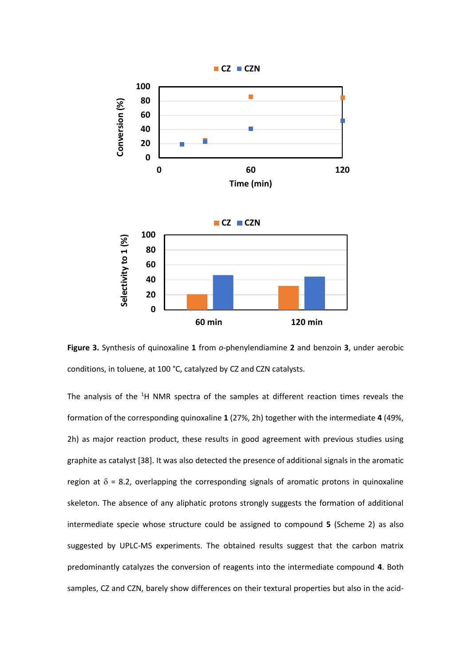

**Figure 3.** Synthesis of quinoxaline **1** from *o*-phenylendiamine **2** and benzoin **3**, under aerobic conditions, in toluene, at 100 °C, catalyzed by CZ and CZN catalysts.

The analysis of the  $1H$  NMR spectra of the samples at different reaction times reveals the formation of the corresponding quinoxaline **1** (27%, 2h) together with the intermediate **4** (49%, 2h) as major reaction product, these results in good agreement with previous studies using graphite as catalyst [38]. It was also detected the presence of additional signals in the aromatic region at  $\delta$  = 8.2, overlapping the corresponding signals of aromatic protons in quinoxaline skeleton. The absence of any aliphatic protons strongly suggests the formation of additional intermediate specie whose structure could be assigned to compound **5** (Scheme 2) as also suggested by UPLC-MS experiments. The obtained results suggest that the carbon matrix predominantly catalyzes the conversion of reagents into the intermediate compound **4**. Both samples, CZ and CZN, barely show differences on their textural properties but also in the acid-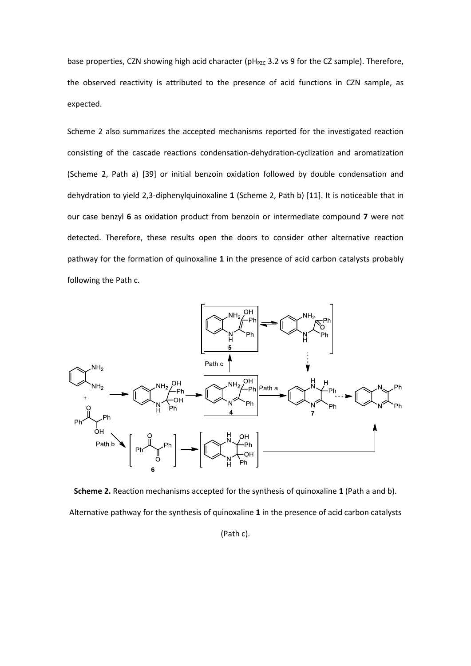base properties, CZN showing high acid character (pH<sub>PZC</sub> 3.2 vs 9 for the CZ sample). Therefore, the observed reactivity is attributed to the presence of acid functions in CZN sample, as expected.

Scheme 2 also summarizes the accepted mechanisms reported for the investigated reaction consisting of the cascade reactions condensation-dehydration-cyclization and aromatization (Scheme 2, Path a) [39] or initial benzoin oxidation followed by double condensation and dehydration to yield 2,3-diphenylquinoxaline **1** (Scheme 2, Path b) [11]. It is noticeable that in our case benzyl **6** as oxidation product from benzoin or intermediate compound **7** were not detected. Therefore, these results open the doors to consider other alternative reaction pathway for the formation of quinoxaline **1** in the presence of acid carbon catalysts probably following the Path c.



**Scheme 2.** Reaction mechanisms accepted for the synthesis of quinoxaline **1** (Path a and b). Alternative pathway for the synthesis of quinoxaline **1** in the presence of acid carbon catalysts

(Path c).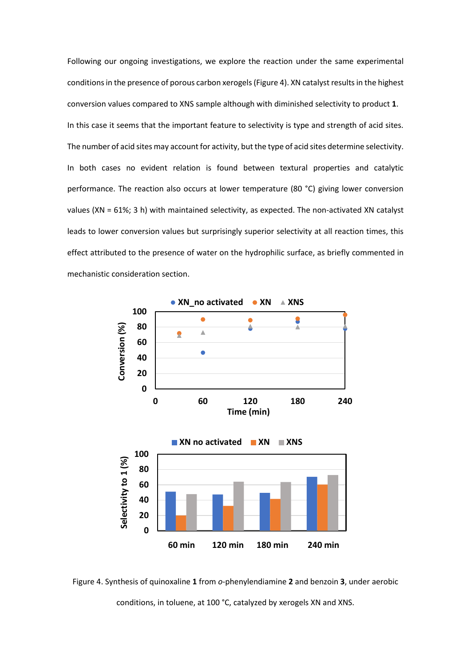Following our ongoing investigations, we explore the reaction under the same experimental conditions in the presence of porous carbon xerogels (Figure 4). XN catalyst results in the highest conversion values compared to XNS sample although with diminished selectivity to product **1**. In this case it seems that the important feature to selectivity is type and strength of acid sites. The number of acid sites may account for activity, but the type of acid sites determine selectivity. In both cases no evident relation is found between textural properties and catalytic performance. The reaction also occurs at lower temperature (80 °C) giving lower conversion values (XN = 61%; 3 h) with maintained selectivity, as expected. The non-activated XN catalyst leads to lower conversion values but surprisingly superior selectivity at all reaction times, this effect attributed to the presence of water on the hydrophilic surface, as briefly commented in mechanistic consideration section.



Figure 4. Synthesis of quinoxaline **1** from *o*-phenylendiamine **2** and benzoin **3**, under aerobic conditions, in toluene, at 100 °C, catalyzed by xerogels XN and XNS.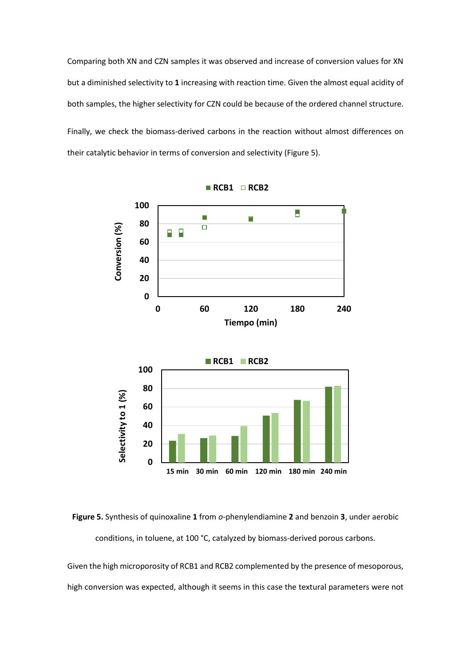Comparing both XN and CZN samples it was observed and increase of conversion values for XN but a diminished selectivity to **1** increasing with reaction time. Given the almost equal acidity of both samples, the higher selectivity for CZN could be because of the ordered channel structure. Finally, we check the biomass-derived carbons in the reaction without almost differences on their catalytic behavior in terms of conversion and selectivity (Figure 5).



**Figure 5.** Synthesis of quinoxaline **1** from *o*-phenylendiamine **2** and benzoin **3**, under aerobic conditions, in toluene, at 100 °C, catalyzed by biomass-derived porous carbons.

Given the high microporosity of RCB1 and RCB2 complemented by the presence of mesoporous, high conversion was expected, although it seems in this case the textural parameters were not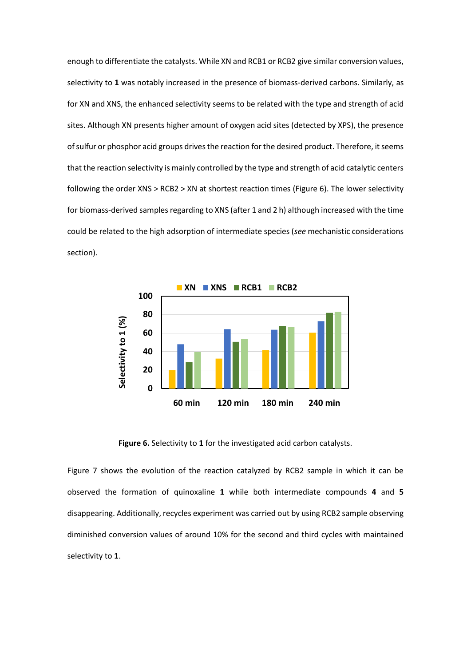enough to differentiate the catalysts. While XN and RCB1 or RCB2 give similar conversion values, selectivity to **1** was notably increased in the presence of biomass-derived carbons. Similarly, as for XN and XNS, the enhanced selectivity seems to be related with the type and strength of acid sites. Although XN presents higher amount of oxygen acid sites (detected by XPS), the presence of sulfur or phosphor acid groups drives the reaction for the desired product. Therefore, it seems that the reaction selectivity is mainly controlled by the type and strength of acid catalytic centers following the order XNS > RCB2 > XN at shortest reaction times (Figure 6). The lower selectivity for biomass-derived samples regarding to XNS (after 1 and 2 h) although increased with the time could be related to the high adsorption of intermediate species (*see* mechanistic considerations section).



**Figure 6.** Selectivity to **1** for the investigated acid carbon catalysts.

Figure 7 shows the evolution of the reaction catalyzed by RCB2 sample in which it can be observed the formation of quinoxaline **1** while both intermediate compounds **4** and **5** disappearing. Additionally, recycles experiment was carried out by using RCB2 sample observing diminished conversion values of around 10% for the second and third cycles with maintained selectivity to **1**.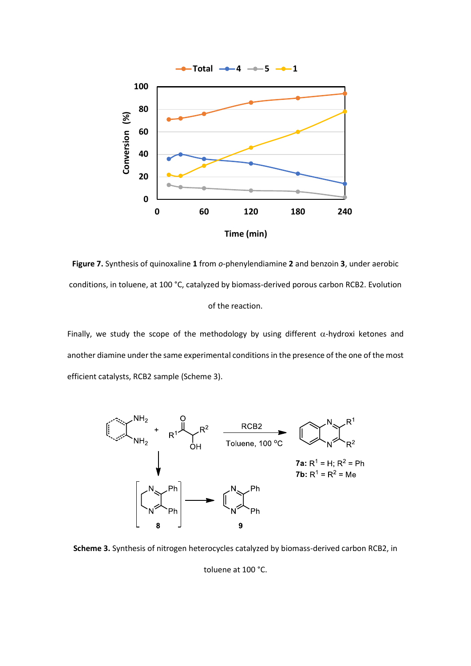

**Figure 7.** Synthesis of quinoxaline **1** from *o*-phenylendiamine **2** and benzoin **3**, under aerobic conditions, in toluene, at 100 °C, catalyzed by biomass-derived porous carbon RCB2. Evolution of the reaction.

Finally, we study the scope of the methodology by using different  $\alpha$ -hydroxi ketones and another diamine under the same experimental conditions in the presence of the one of the most efficient catalysts, RCB2 sample (Scheme 3).



**Scheme 3.** Synthesis of nitrogen heterocycles catalyzed by biomass-derived carbon RCB2, in

toluene at 100 °C.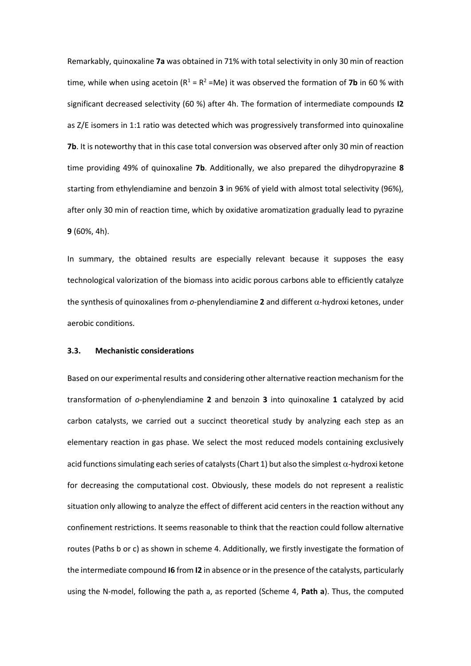Remarkably, quinoxaline **7a** was obtained in 71% with total selectivity in only 30 min of reaction time, while when using acetoin  $(R^1 = R^2 = Me)$  it was observed the formation of **7b** in 60 % with significant decreased selectivity (60 %) after 4h. The formation of intermediate compounds **I2** as Z/E isomers in 1:1 ratio was detected which was progressively transformed into quinoxaline **7b**. It is noteworthy that in this case total conversion was observed after only 30 min of reaction time providing 49% of quinoxaline **7b**. Additionally, we also prepared the dihydropyrazine **8** starting from ethylendiamine and benzoin **3** in 96% of yield with almost total selectivity (96%), after only 30 min of reaction time, which by oxidative aromatization gradually lead to pyrazine **9** (60%, 4h).

In summary, the obtained results are especially relevant because it supposes the easy technological valorization of the biomass into acidic porous carbons able to efficiently catalyze the synthesis of quinoxalines from  $o$ -phenylendiamine 2 and different  $\alpha$ -hydroxi ketones, under aerobic conditions.

#### **3.3. Mechanistic considerations**

Based on our experimental results and considering other alternative reaction mechanism for the transformation of *o*-phenylendiamine **2** and benzoin **3** into quinoxaline **1** catalyzed by acid carbon catalysts, we carried out a succinct theoretical study by analyzing each step as an elementary reaction in gas phase. We select the most reduced models containing exclusively acid functions simulating each series of catalysts (Chart 1) but also the simplest  $\alpha$ -hydroxi ketone for decreasing the computational cost. Obviously, these models do not represent a realistic situation only allowing to analyze the effect of different acid centers in the reaction without any confinement restrictions. It seems reasonable to think that the reaction could follow alternative routes (Paths b or c) as shown in scheme 4. Additionally, we firstly investigate the formation of the intermediate compound **I6** from **I2** in absence or in the presence of the catalysts, particularly using the N-model, following the path a, as reported (Scheme 4, **Path a**). Thus, the computed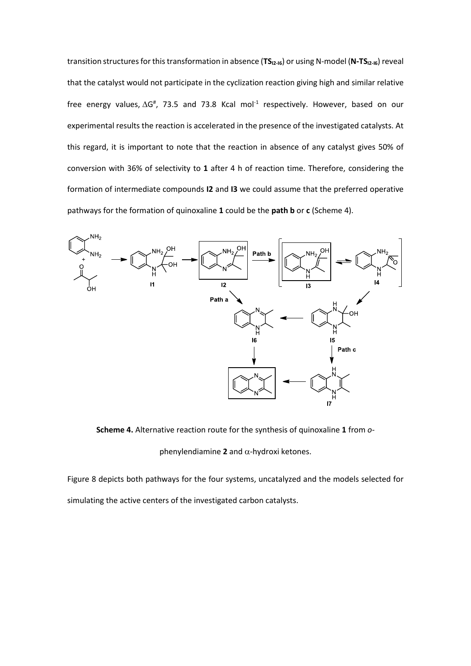transition structures for this transformation in absence (**TSI2-I6**) or using N-model (**N-TSI2-I6**) reveal that the catalyst would not participate in the cyclization reaction giving high and similar relative free energy values,  $\Delta G^{\#}$ , 73.5 and 73.8 Kcal mol<sup>-1</sup> respectively. However, based on our experimental results the reaction is accelerated in the presence of the investigated catalysts. At this regard, it is important to note that the reaction in absence of any catalyst gives 50% of conversion with 36% of selectivity to **1** after 4 h of reaction time. Therefore, considering the formation of intermediate compounds **I2** and **I3** we could assume that the preferred operative pathways for the formation of quinoxaline **1** could be the **path b** or **c** (Scheme 4).



**Scheme 4.** Alternative reaction route for the synthesis of quinoxaline **1** from *o*-

phenylendiamine  $2$  and  $\alpha$ -hydroxi ketones.

Figure 8 depicts both pathways for the four systems, uncatalyzed and the models selected for simulating the active centers of the investigated carbon catalysts.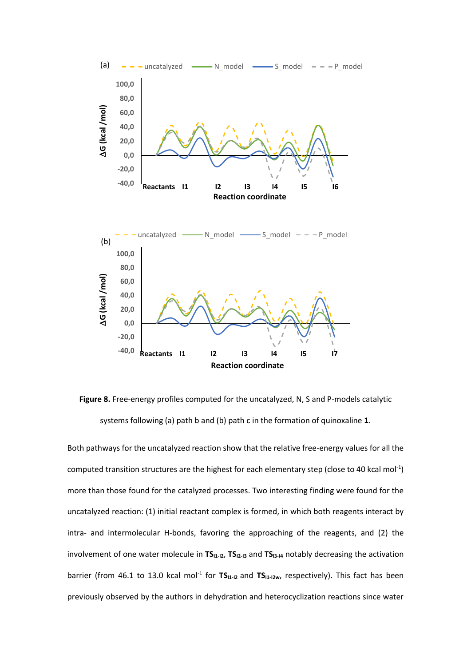![](_page_22_Figure_0.jpeg)

**Figure 8.** Free-energy profiles computed for the uncatalyzed, N, S and P-models catalytic systems following (a) path b and (b) path c in the formation of quinoxaline **1**.

Both pathways for the uncatalyzed reaction show that the relative free-energy values for all the computed transition structures are the highest for each elementary step (close to 40 kcal mol<sup>-1</sup>) more than those found for the catalyzed processes. Two interesting finding were found for the uncatalyzed reaction: (1) initial reactant complex is formed, in which both reagents interact by intra- and intermolecular H-bonds, favoring the approaching of the reagents, and (2) the involvement of one water molecule in **TS**<sub>11-12</sub>, **TS**<sub>12-13</sub> and **TS**<sub>13-14</sub> notably decreasing the activation barrier (from 46.1 to 13.0 kcal mol<sup>-1</sup> for TS<sub>I1-I2</sub> and TS<sub>I1-I2w</sub>, respectively). This fact has been previously observed by the authors in dehydration and heterocyclization reactions since water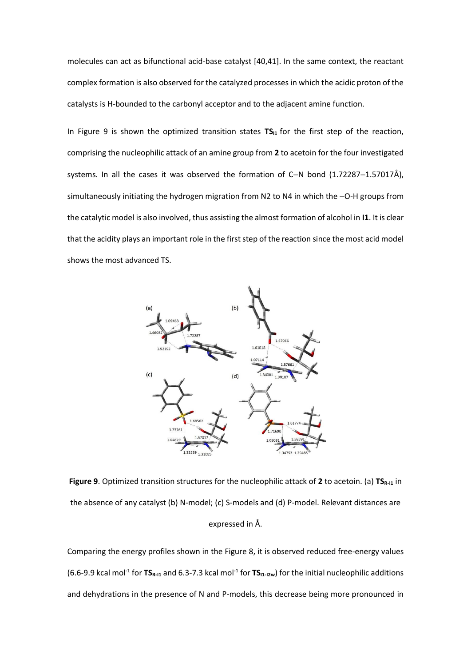molecules can act as bifunctional acid-base catalyst [40,41]. In the same context, the reactant complex formation is also observed for the catalyzed processes in which the acidic proton of the catalysts is H-bounded to the carbonyl acceptor and to the adjacent amine function.

In Figure 9 is shown the optimized transition states TS<sub>11</sub> for the first step of the reaction, comprising the nucleophilic attack of an amine group from **2** to acetoin for the four investigated systems. In all the cases it was observed the formation of C−N bond (1.72287−1.57017Å), simultaneously initiating the hydrogen migration from N2 to N4 in which the −O-H groups from the catalytic model is also involved, thus assisting the almost formation of alcohol in **I1**. It is clear that the acidity plays an important role in the first step of the reaction since the most acid model shows the most advanced TS.

![](_page_23_Figure_2.jpeg)

**Figure 9.** Optimized transition structures for the nucleophilic attack of 2 to acetoin. (a) **TS**<sub>R-11</sub> in the absence of any catalyst (b) N-model; (c) S-models and (d) P-model. Relevant distances are expressed in Å.

Comparing the energy profiles shown in the Figure 8, it is observed reduced free-energy values (6.6-9.9 kcal mol<sup>-1</sup> for **TS**<sub>R-11</sub> and 6.3-7.3 kcal mol<sup>-1</sup> for **TS**<sub>11-12w</sub>) for the initial nucleophilic additions and dehydrations in the presence of N and P-models, this decrease being more pronounced in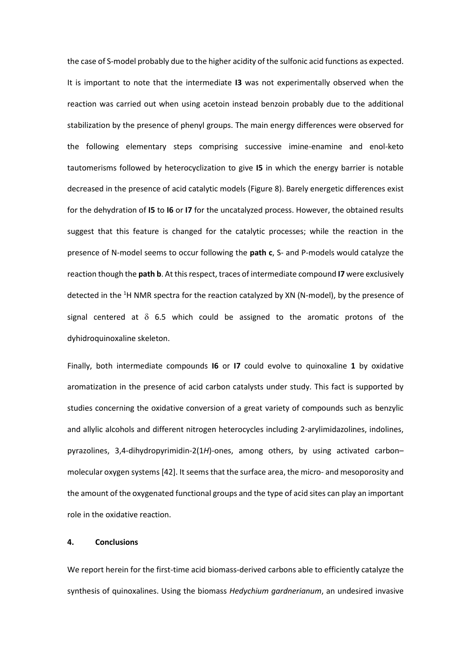the case of S-model probably due to the higher acidity of the sulfonic acid functions as expected. It is important to note that the intermediate **I3** was not experimentally observed when the reaction was carried out when using acetoin instead benzoin probably due to the additional stabilization by the presence of phenyl groups. The main energy differences were observed for the following elementary steps comprising successive imine-enamine and enol-keto tautomerisms followed by heterocyclization to give **I5** in which the energy barrier is notable decreased in the presence of acid catalytic models (Figure 8). Barely energetic differences exist for the dehydration of **I5** to **I6** or **I7** for the uncatalyzed process. However, the obtained results suggest that this feature is changed for the catalytic processes; while the reaction in the presence of N-model seems to occur following the **path c**, S- and P-models would catalyze the reaction though the **path b**. At this respect, traces of intermediate compound **I7** were exclusively detected in the <sup>1</sup>H NMR spectra for the reaction catalyzed by XN (N-model), by the presence of signal centered at  $\delta$  6.5 which could be assigned to the aromatic protons of the dyhidroquinoxaline skeleton.

Finally, both intermediate compounds **I6** or **I7** could evolve to quinoxaline **1** by oxidative aromatization in the presence of acid carbon catalysts under study. This fact is supported by studies concerning the oxidative conversion of a great variety of compounds such as benzylic and allylic alcohols and different nitrogen heterocycles including 2-arylimidazolines, indolines, pyrazolines, 3,4-dihydropyrimidin-2(1*H*)-ones, among others, by using activated carbon– molecular oxygen systems [42]. It seems that the surface area, the micro- and mesoporosity and the amount of the oxygenated functional groups and the type of acid sites can play an important role in the oxidative reaction.

# **4. Conclusions**

We report herein for the first-time acid biomass-derived carbons able to efficiently catalyze the synthesis of quinoxalines. Using the biomass *Hedychium gardnerianum*, an undesired invasive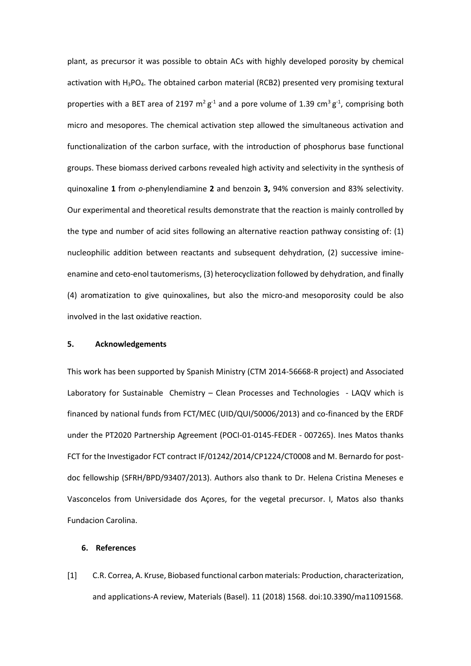plant, as precursor it was possible to obtain ACs with highly developed porosity by chemical activation with  $H_3PO_4$ . The obtained carbon material (RCB2) presented very promising textural properties with a BET area of 2197  $m^2 g^1$  and a pore volume of 1.39 cm<sup>3</sup>  $g^1$ , comprising both micro and mesopores. The chemical activation step allowed the simultaneous activation and functionalization of the carbon surface, with the introduction of phosphorus base functional groups. These biomass derived carbons revealed high activity and selectivity in the synthesis of quinoxaline **1** from *o*-phenylendiamine **2** and benzoin **3,** 94% conversion and 83% selectivity. Our experimental and theoretical results demonstrate that the reaction is mainly controlled by the type and number of acid sites following an alternative reaction pathway consisting of: (1) nucleophilic addition between reactants and subsequent dehydration, (2) successive imineenamine and ceto-enol tautomerisms, (3) heterocyclization followed by dehydration, and finally (4) aromatization to give quinoxalines, but also the micro-and mesoporosity could be also involved in the last oxidative reaction.

#### **5. Acknowledgements**

This work has been supported by Spanish Ministry (CTM 2014-56668-R project) and Associated Laboratory for Sustainable Chemistry – Clean Processes and Technologies - LAQV which is financed by national funds from FCT/MEC (UID/QUI/50006/2013) and co-financed by the ERDF under the PT2020 Partnership Agreement (POCI-01-0145-FEDER - 007265). Ines Matos thanks FCT for the Investigador FCT contract IF/01242/2014/CP1224/CT0008 and M. Bernardo for postdoc fellowship (SFRH/BPD/93407/2013). Authors also thank to Dr. Helena Cristina Meneses e Vasconcelos from Universidade dos Açores, for the vegetal precursor. I, Matos also thanks Fundacion Carolina.

## **6. References**

[1] C.R. Correa, A. Kruse, Biobased functional carbon materials: Production, characterization, and applications-A review, Materials (Basel). 11 (2018) 1568. doi:10.3390/ma11091568.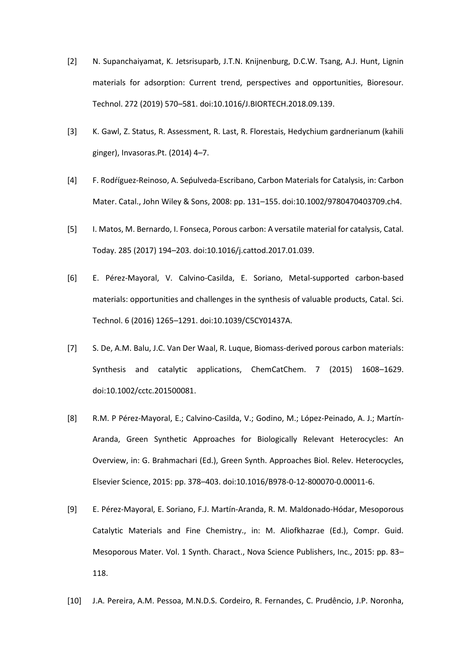- [2] N. Supanchaiyamat, K. Jetsrisuparb, J.T.N. Knijnenburg, D.C.W. Tsang, A.J. Hunt, Lignin materials for adsorption: Current trend, perspectives and opportunities, Bioresour. Technol. 272 (2019) 570–581. doi:10.1016/J.BIORTECH.2018.09.139.
- [3] K. Gawl, Z. Status, R. Assessment, R. Last, R. Florestais, Hedychium gardnerianum (kahili ginger), Invasoras.Pt. (2014) 4–7.
- [4] F. Rodŕíguez-Reinoso, A. Sepulveda-Escribano, Carbon Materials for Catalysis, in: Carbon Mater. Catal., John Wiley & Sons, 2008: pp. 131–155. doi:10.1002/9780470403709.ch4.
- [5] I. Matos, M. Bernardo, I. Fonseca, Porous carbon: A versatile material for catalysis, Catal. Today. 285 (2017) 194–203. doi:10.1016/j.cattod.2017.01.039.
- [6] E. Pérez-Mayoral, V. Calvino-Casilda, E. Soriano, Metal-supported carbon-based materials: opportunities and challenges in the synthesis of valuable products, Catal. Sci. Technol. 6 (2016) 1265–1291. doi:10.1039/C5CY01437A.
- [7] S. De, A.M. Balu, J.C. Van Der Waal, R. Luque, Biomass-derived porous carbon materials: Synthesis and catalytic applications, ChemCatChem. 7 (2015) 1608–1629. doi:10.1002/cctc.201500081.
- [8] R.M. P Pérez-Mayoral, E.; Calvino-Casilda, V.; Godino, M.; López-Peinado, A. J.; Martín-Aranda, Green Synthetic Approaches for Biologically Relevant Heterocycles: An Overview, in: G. Brahmachari (Ed.), Green Synth. Approaches Biol. Relev. Heterocycles, Elsevier Science, 2015: pp. 378–403. doi:10.1016/B978-0-12-800070-0.00011-6.
- [9] E. Pérez-Mayoral, E. Soriano, F.J. Martín-Aranda, R. M. Maldonado-Hódar, Mesoporous Catalytic Materials and Fine Chemistry., in: M. Aliofkhazrae (Ed.), Compr. Guid. Mesoporous Mater. Vol. 1 Synth. Charact., Nova Science Publishers, Inc., 2015: pp. 83– 118.
- [10] J.A. Pereira, A.M. Pessoa, M.N.D.S. Cordeiro, R. Fernandes, C. Prudêncio, J.P. Noronha,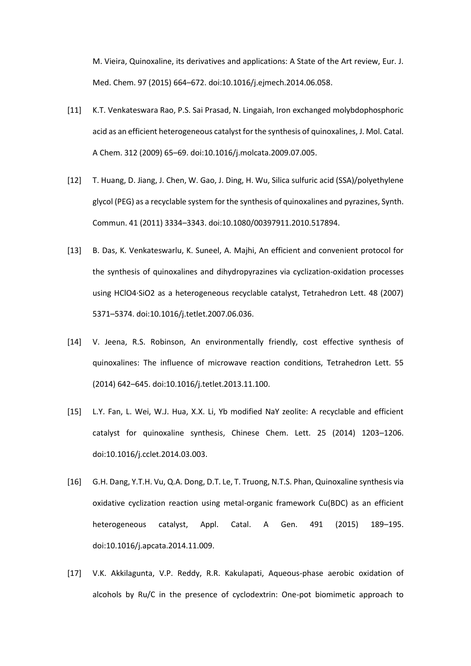M. Vieira, Quinoxaline, its derivatives and applications: A State of the Art review, Eur. J. Med. Chem. 97 (2015) 664–672. doi:10.1016/j.ejmech.2014.06.058.

- [11] K.T. Venkateswara Rao, P.S. Sai Prasad, N. Lingaiah, Iron exchanged molybdophosphoric acid as an efficient heterogeneous catalyst for the synthesis of quinoxalines, J. Mol. Catal. A Chem. 312 (2009) 65–69. doi:10.1016/j.molcata.2009.07.005.
- [12] T. Huang, D. Jiang, J. Chen, W. Gao, J. Ding, H. Wu, Silica sulfuric acid (SSA)/polyethylene glycol (PEG) as a recyclable system for the synthesis of quinoxalines and pyrazines, Synth. Commun. 41 (2011) 3334–3343. doi:10.1080/00397911.2010.517894.
- [13] B. Das, K. Venkateswarlu, K. Suneel, A. Majhi, An efficient and convenient protocol for the synthesis of quinoxalines and dihydropyrazines via cyclization-oxidation processes using HClO4·SiO2 as a heterogeneous recyclable catalyst, Tetrahedron Lett. 48 (2007) 5371–5374. doi:10.1016/j.tetlet.2007.06.036.
- [14] V. Jeena, R.S. Robinson, An environmentally friendly, cost effective synthesis of quinoxalines: The influence of microwave reaction conditions, Tetrahedron Lett. 55 (2014) 642–645. doi:10.1016/j.tetlet.2013.11.100.
- [15] L.Y. Fan, L. Wei, W.J. Hua, X.X. Li, Yb modified NaY zeolite: A recyclable and efficient catalyst for quinoxaline synthesis, Chinese Chem. Lett. 25 (2014) 1203–1206. doi:10.1016/j.cclet.2014.03.003.
- [16] G.H. Dang, Y.T.H. Vu, Q.A. Dong, D.T. Le, T. Truong, N.T.S. Phan, Quinoxaline synthesis via oxidative cyclization reaction using metal-organic framework Cu(BDC) as an efficient heterogeneous catalyst, Appl. Catal. A Gen. 491 (2015) 189–195. doi:10.1016/j.apcata.2014.11.009.
- [17] V.K. Akkilagunta, V.P. Reddy, R.R. Kakulapati, Aqueous-phase aerobic oxidation of alcohols by Ru/C in the presence of cyclodextrin: One-pot biomimetic approach to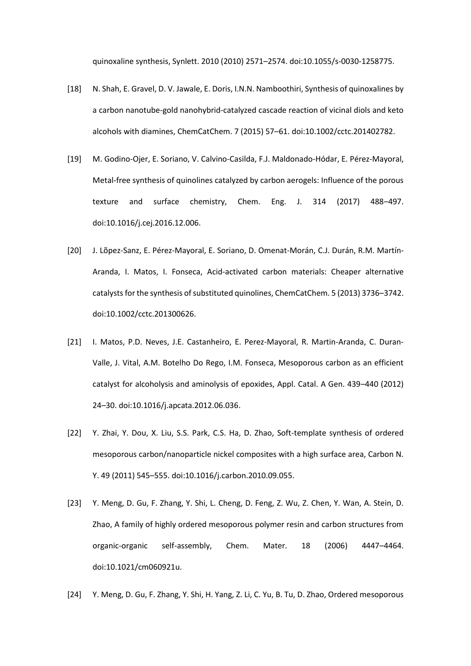quinoxaline synthesis, Synlett. 2010 (2010) 2571–2574. doi:10.1055/s-0030-1258775.

- [18] N. Shah, E. Gravel, D. V. Jawale, E. Doris, I.N.N. Namboothiri, Synthesis of quinoxalines by a carbon nanotube-gold nanohybrid-catalyzed cascade reaction of vicinal diols and keto alcohols with diamines, ChemCatChem. 7 (2015) 57–61. doi:10.1002/cctc.201402782.
- [19] M. Godino-Ojer, E. Soriano, V. Calvino-Casilda, F.J. Maldonado-Hódar, E. Pérez-Mayoral, Metal-free synthesis of quinolines catalyzed by carbon aerogels: Influence of the porous texture and surface chemistry, Chem. Eng. J. 314 (2017) 488–497. doi:10.1016/j.cej.2016.12.006.
- [20] J. Lõpez-Sanz, E. Pérez-Mayoral, E. Soriano, D. Omenat-Morán, C.J. Durán, R.M. Martín-Aranda, I. Matos, I. Fonseca, Acid-activated carbon materials: Cheaper alternative catalysts for the synthesis of substituted quinolines, ChemCatChem. 5 (2013) 3736–3742. doi:10.1002/cctc.201300626.
- [21] I. Matos, P.D. Neves, J.E. Castanheiro, E. Perez-Mayoral, R. Martin-Aranda, C. Duran-Valle, J. Vital, A.M. Botelho Do Rego, I.M. Fonseca, Mesoporous carbon as an efficient catalyst for alcoholysis and aminolysis of epoxides, Appl. Catal. A Gen. 439–440 (2012) 24–30. doi:10.1016/j.apcata.2012.06.036.
- [22] Y. Zhai, Y. Dou, X. Liu, S.S. Park, C.S. Ha, D. Zhao, Soft-template synthesis of ordered mesoporous carbon/nanoparticle nickel composites with a high surface area, Carbon N. Y. 49 (2011) 545–555. doi:10.1016/j.carbon.2010.09.055.
- [23] Y. Meng, D. Gu, F. Zhang, Y. Shi, L. Cheng, D. Feng, Z. Wu, Z. Chen, Y. Wan, A. Stein, D. Zhao, A family of highly ordered mesoporous polymer resin and carbon structures from organic-organic self-assembly, Chem. Mater. 18 (2006) 4447–4464. doi:10.1021/cm060921u.
- [24] Y. Meng, D. Gu, F. Zhang, Y. Shi, H. Yang, Z. Li, C. Yu, B. Tu, D. Zhao, Ordered mesoporous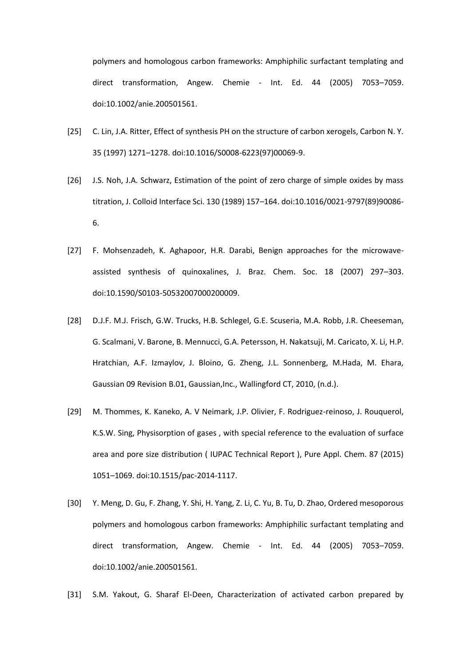polymers and homologous carbon frameworks: Amphiphilic surfactant templating and direct transformation, Angew. Chemie - Int. Ed. 44 (2005) 7053–7059. doi:10.1002/anie.200501561.

- [25] C. Lin, J.A. Ritter, Effect of synthesis PH on the structure of carbon xerogels, Carbon N. Y. 35 (1997) 1271–1278. doi:10.1016/S0008-6223(97)00069-9.
- [26] J.S. Noh, J.A. Schwarz, Estimation of the point of zero charge of simple oxides by mass titration, J. Colloid Interface Sci. 130 (1989) 157–164. doi:10.1016/0021-9797(89)90086- 6.
- [27] F. Mohsenzadeh, K. Aghapoor, H.R. Darabi, Benign approaches for the microwaveassisted synthesis of quinoxalines, J. Braz. Chem. Soc. 18 (2007) 297–303. doi:10.1590/S0103-50532007000200009.
- [28] D.J.F. M.J. Frisch, G.W. Trucks, H.B. Schlegel, G.E. Scuseria, M.A. Robb, J.R. Cheeseman, G. Scalmani, V. Barone, B. Mennucci, G.A. Petersson, H. Nakatsuji, M. Caricato, X. Li, H.P. Hratchian, A.F. Izmaylov, J. Bloino, G. Zheng, J.L. Sonnenberg, M.Hada, M. Ehara, Gaussian 09 Revision B.01, Gaussian,Inc., Wallingford CT, 2010, (n.d.).
- [29] M. Thommes, K. Kaneko, A. V Neimark, J.P. Olivier, F. Rodriguez-reinoso, J. Rouquerol, K.S.W. Sing, Physisorption of gases , with special reference to the evaluation of surface area and pore size distribution ( IUPAC Technical Report ), Pure Appl. Chem. 87 (2015) 1051–1069. doi:10.1515/pac-2014-1117.
- [30] Y. Meng, D. Gu, F. Zhang, Y. Shi, H. Yang, Z. Li, C. Yu, B. Tu, D. Zhao, Ordered mesoporous polymers and homologous carbon frameworks: Amphiphilic surfactant templating and direct transformation, Angew. Chemie - Int. Ed. 44 (2005) 7053–7059. doi:10.1002/anie.200501561.
- [31] S.M. Yakout, G. Sharaf El-Deen, Characterization of activated carbon prepared by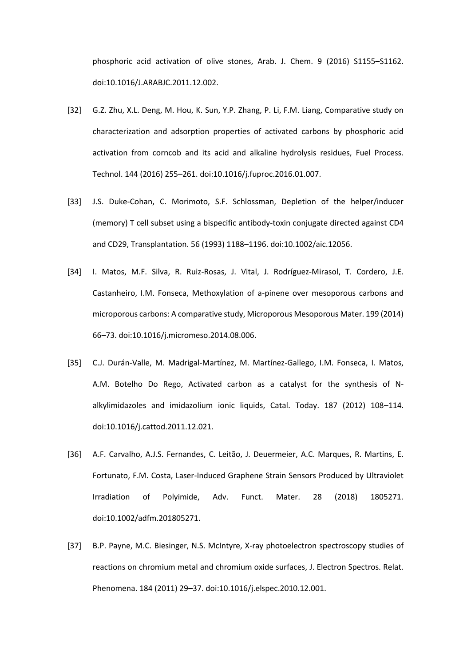phosphoric acid activation of olive stones, Arab. J. Chem. 9 (2016) S1155–S1162. doi:10.1016/J.ARABJC.2011.12.002.

- [32] G.Z. Zhu, X.L. Deng, M. Hou, K. Sun, Y.P. Zhang, P. Li, F.M. Liang, Comparative study on characterization and adsorption properties of activated carbons by phosphoric acid activation from corncob and its acid and alkaline hydrolysis residues, Fuel Process. Technol. 144 (2016) 255–261. doi:10.1016/j.fuproc.2016.01.007.
- [33] J.S. Duke-Cohan, C. Morimoto, S.F. Schlossman, Depletion of the helper/inducer (memory) T cell subset using a bispecific antibody-toxin conjugate directed against CD4 and CD29, Transplantation. 56 (1993) 1188–1196. doi:10.1002/aic.12056.
- [34] I. Matos, M.F. Silva, R. Ruiz-Rosas, J. Vital, J. Rodríguez-Mirasol, T. Cordero, J.E. Castanheiro, I.M. Fonseca, Methoxylation of a-pinene over mesoporous carbons and microporous carbons: A comparative study, Microporous Mesoporous Mater. 199 (2014) 66–73. doi:10.1016/j.micromeso.2014.08.006.
- [35] C.J. Durán-Valle, M. Madrigal-Martínez, M. Martínez-Gallego, I.M. Fonseca, I. Matos, A.M. Botelho Do Rego, Activated carbon as a catalyst for the synthesis of Nalkylimidazoles and imidazolium ionic liquids, Catal. Today. 187 (2012) 108–114. doi:10.1016/j.cattod.2011.12.021.
- [36] A.F. Carvalho, A.J.S. Fernandes, C. Leitão, J. Deuermeier, A.C. Marques, R. Martins, E. Fortunato, F.M. Costa, Laser-Induced Graphene Strain Sensors Produced by Ultraviolet Irradiation of Polyimide, Adv. Funct. Mater. 28 (2018) 1805271. doi:10.1002/adfm.201805271.
- [37] B.P. Payne, M.C. Biesinger, N.S. McIntyre, X-ray photoelectron spectroscopy studies of reactions on chromium metal and chromium oxide surfaces, J. Electron Spectros. Relat. Phenomena. 184 (2011) 29–37. doi:10.1016/j.elspec.2010.12.001.